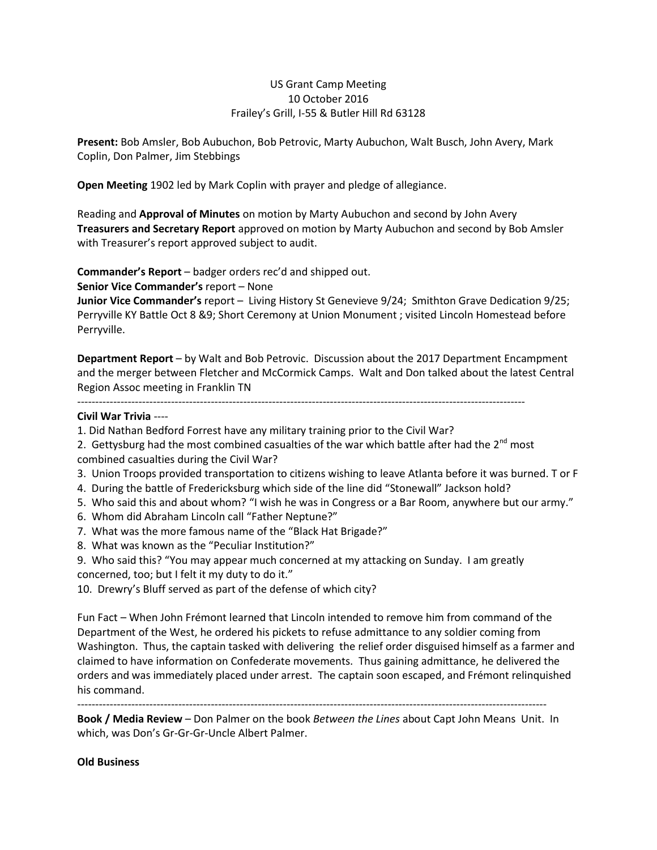## US Grant Camp Meeting 10 October 2016 Frailey's Grill, I-55 & Butler Hill Rd 63128

**Present:** Bob Amsler, Bob Aubuchon, Bob Petrovic, Marty Aubuchon, Walt Busch, John Avery, Mark Coplin, Don Palmer, Jim Stebbings

**Open Meeting** 1902 led by Mark Coplin with prayer and pledge of allegiance.

Reading and **Approval of Minutes** on motion by Marty Aubuchon and second by John Avery **Treasurers and Secretary Report** approved on motion by Marty Aubuchon and second by Bob Amsler with Treasurer's report approved subject to audit.

**Commander's Report** – badger orders rec'd and shipped out.

**Senior Vice Commander's** report – None

**Junior Vice Commander's** report – Living History St Genevieve 9/24; Smithton Grave Dedication 9/25; Perryville KY Battle Oct 8 &9; Short Ceremony at Union Monument ; visited Lincoln Homestead before Perryville.

**Department Report** – by Walt and Bob Petrovic. Discussion about the 2017 Department Encampment and the merger between Fletcher and McCormick Camps. Walt and Don talked about the latest Central Region Assoc meeting in Franklin TN

----------------------------------------------------------------------------------------------------------------------------

## **Civil War Trivia** ----

- 1. Did Nathan Bedford Forrest have any military training prior to the Civil War?
- 2. Gettysburg had the most combined casualties of the war which battle after had the  $2^{nd}$  most
- combined casualties during the Civil War?
- 3. Union Troops provided transportation to citizens wishing to leave Atlanta before it was burned. T or F
- 4. During the battle of Fredericksburg which side of the line did "Stonewall" Jackson hold?
- 5. Who said this and about whom? "I wish he was in Congress or a Bar Room, anywhere but our army."
- 6. Whom did Abraham Lincoln call "Father Neptune?"
- 7. What was the more famous name of the "Black Hat Brigade?"
- 8. What was known as the "Peculiar Institution?"
- 9. Who said this? "You may appear much concerned at my attacking on Sunday. I am greatly concerned, too; but I felt it my duty to do it."
- 10. Drewry's Bluff served as part of the defense of which city?

Fun Fact – When John Frémont learned that Lincoln intended to remove him from command of the Department of the West, he ordered his pickets to refuse admittance to any soldier coming from Washington. Thus, the captain tasked with delivering the relief order disguised himself as a farmer and claimed to have information on Confederate movements. Thus gaining admittance, he delivered the orders and was immediately placed under arrest. The captain soon escaped, and Frémont relinquished his command.

----------------------------------------------------------------------------------------------------------------------------------

**Book / Media Review** – Don Palmer on the book *Between the Lines* about Capt John Means Unit. In which, was Don's Gr-Gr-Gr-Uncle Albert Palmer.

## **Old Business**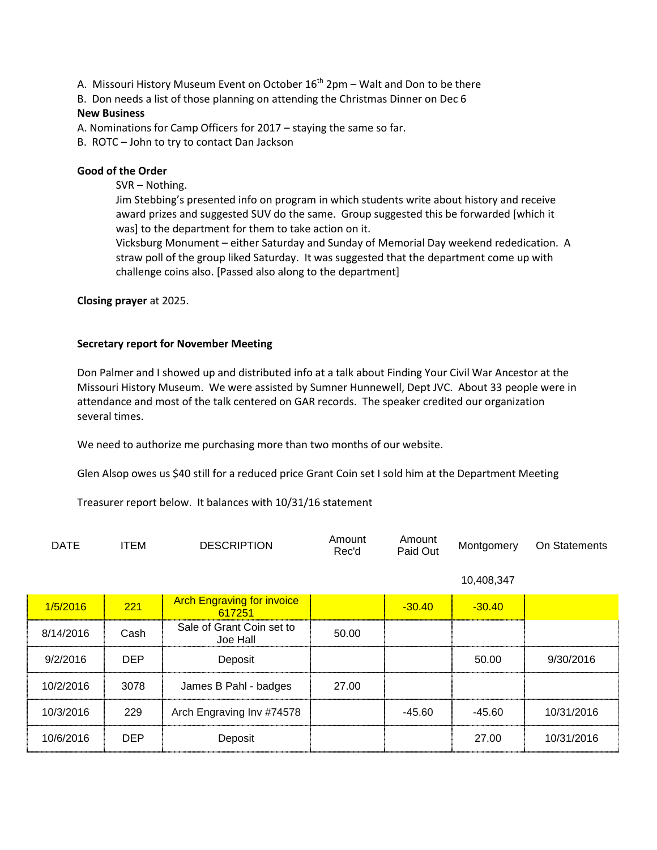A. Missouri History Museum Event on October  $16^{th}$  2pm – Walt and Don to be there

B. Don needs a list of those planning on attending the Christmas Dinner on Dec 6

## **New Business**

A. Nominations for Camp Officers for 2017 – staying the same so far.

B. ROTC – John to try to contact Dan Jackson

# **Good of the Order**

SVR – Nothing.

Jim Stebbing's presented info on program in which students write about history and receive award prizes and suggested SUV do the same. Group suggested this be forwarded [which it was] to the department for them to take action on it.

Vicksburg Monument – either Saturday and Sunday of Memorial Day weekend rededication. A straw poll of the group liked Saturday. It was suggested that the department come up with challenge coins also. [Passed also along to the department]

**Closing prayer** at 2025.

## **Secretary report for November Meeting**

Don Palmer and I showed up and distributed info at a talk about Finding Your Civil War Ancestor at the Missouri History Museum. We were assisted by Sumner Hunnewell, Dept JVC. About 33 people were in attendance and most of the talk centered on GAR records. The speaker credited our organization several times.

We need to authorize me purchasing more than two months of our website.

Glen Alsop owes us \$40 still for a reduced price Grant Coin set I sold him at the Department Meeting

Treasurer report below. It balances with 10/31/16 statement

| DATE | тем | <b>DESCRIPTION</b> | Amount<br>Rec'd | Amount<br>Paid Out | Montgomery | On Statements |
|------|-----|--------------------|-----------------|--------------------|------------|---------------|
|------|-----|--------------------|-----------------|--------------------|------------|---------------|

10,408,347

| 1/5/2016  | 221        | <b>Arch Engraving for invoice</b><br>617251 |       | $-30.40$ | $-30.40$ |            |
|-----------|------------|---------------------------------------------|-------|----------|----------|------------|
| 8/14/2016 | Cash       | Sale of Grant Coin set to<br>Joe Hall       | 50.00 |          |          |            |
| 9/2/2016  | <b>DEP</b> | Deposit                                     |       |          | 50.00    | 9/30/2016  |
| 10/2/2016 | 3078       | James B Pahl - badges                       | 27.00 |          |          |            |
| 10/3/2016 | 229        | Arch Engraving Inv #74578                   |       | $-45.60$ | $-45.60$ | 10/31/2016 |
| 10/6/2016 | <b>DEP</b> | Deposit                                     |       |          | 27.00    | 10/31/2016 |